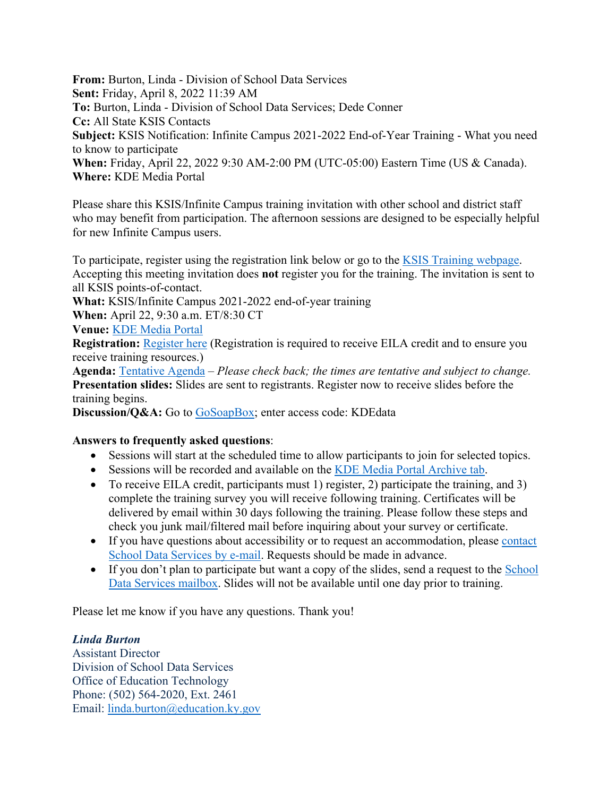**From:** Burton, Linda - Division of School Data Services **Sent:** Friday, April 8, 2022 11:39 AM **To:** Burton, Linda - Division of School Data Services; Dede Conner **Cc:** All State KSIS Contacts **Subject:** KSIS Notification: Infinite Campus 2021-2022 End-of-Year Training - What you need to know to participate **When:** Friday, April 22, 2022 9:30 AM-2:00 PM (UTC-05:00) Eastern Time (US & Canada). **Where:** KDE Media Portal

Please share this KSIS/Infinite Campus training invitation with other school and district staff who may benefit from participation. The afternoon sessions are designed to be especially helpful for new Infinite Campus users.

To participate, register using the registration link below or go to the [KSIS Training webpage.](https://education.ky.gov/districts/tech/sis/Pages/KSIS-Training.aspx) Accepting this meeting invitation does **not** register you for the training. The invitation is sent to all KSIS points-of-contact.

**What:** KSIS/Infinite Campus 2021-2022 end-of-year training

**When:** April 22, 9:30 a.m. ET/8:30 CT

**Venue:** [KDE Media Portal](http://mediaportal.education.ky.gov/watch-live/)

**Registration: [Register here](https://nam11.safelinks.protection.outlook.com/?url=https%3A%2F%2Fwww.surveymonkey.com%2Fr%2F21-22_EOY_Registration&data=04%7C01%7Cryan.adcock%40education.ky.gov%7C05870f968e3149cccf6c08da1bfe888f%7C9360c11f90e64706ad0025fcdc9e2ed1%7C0%7C0%7C637853077298011598%7CUnknown%7CTWFpbGZsb3d8eyJWIjoiMC4wLjAwMDAiLCJQIjoiV2luMzIiLCJBTiI6Ik1haWwiLCJXVCI6Mn0%3D%7C3000&sdata=%2BEJ7wZz3Z4T9halqD4Z526nEeS4DP%2BuGzD4nVn%2FMNd0%3D&reserved=0)** (Registration is required to receive EILA credit and to ensure you receive training resources.)

**Agenda:** [Tentative Agenda](https://education.ky.gov/districts/tech/sis/Documents/2021-22_KSIS_EoY_Training_Agenda.pdf) – *Please check back; the times are tentative and subject to change.* **Presentation slides:** Slides are sent to registrants. Register now to receive slides before the training begins.

Discussion/Q&A: Go to [GoSoapBox;](https://nam11.safelinks.protection.outlook.com/?url=https%3A%2F%2Fapp.gosoapbox.com%2F&data=04%7C01%7Cryan.adcock%40education.ky.gov%7C05870f968e3149cccf6c08da1bfe888f%7C9360c11f90e64706ad0025fcdc9e2ed1%7C0%7C0%7C637853077298011598%7CUnknown%7CTWFpbGZsb3d8eyJWIjoiMC4wLjAwMDAiLCJQIjoiV2luMzIiLCJBTiI6Ik1haWwiLCJXVCI6Mn0%3D%7C3000&sdata=Aa4p2S7YzM1Bnhjdxik9hRnaOik3iL7MHKL%2Bijn1ass%3D&reserved=0) enter access code: KDEdata

## **Answers to frequently asked questions**:

- Sessions will start at the scheduled time to allow participants to join for selected topics.
- Sessions will be recorded and available on the [KDE Media Portal Archive tab.](https://mediaportal.education.ky.gov/archive/)
- To receive EILA credit, participants must 1) register, 2) participate the training, and 3) complete the training survey you will receive following training. Certificates will be delivered by email within 30 days following the training. Please follow these steps and check you junk mail/filtered mail before inquiring about your survey or certificate.
- If you have questions about accessibility or to request an accommodation, please [contact](mailto:kdedatarequest@education.ky.gov)  [School Data Services by e-mail.](mailto:kdedatarequest@education.ky.gov) Requests should be made in advance.
- If you don't plan to participate but want a copy of the slides, send a request to the School [Data Services mailbox.](mailto:kdedatarequest@education.ky.gov) Slides will not be available until one day prior to training.

Please let me know if you have any questions. Thank you!

## *Linda Burton*

Assistant Director Division of School Data Services Office of Education Technology Phone: (502) 564-2020, Ext. 2461 Email: [linda.burton@education.ky.gov](mailto:linda.burton@education.ky.gov)